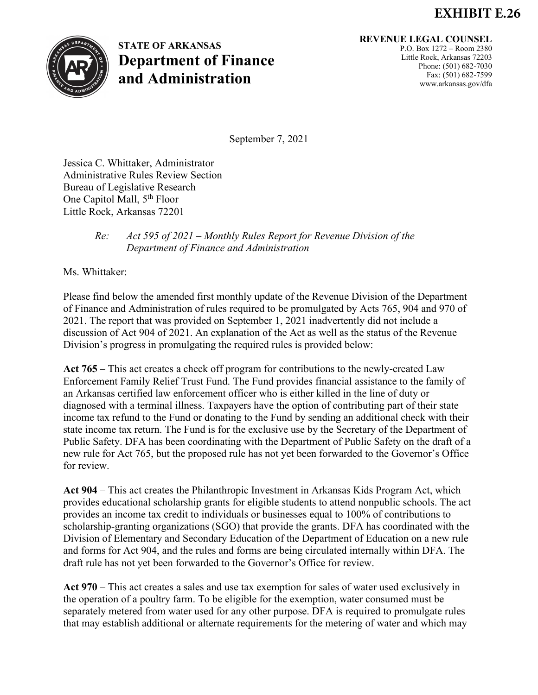## **EXHIBIT E.26**



## **STATE OF ARKANSAS Department of Finance and Administration**

## **REVENUE LEGAL COUNSEL**

P.O. Box 1272 – Room 2380 Little Rock, Arkansas 72203 Phone: (501) 682-7030 Fax: (501) 682-7599 www.arkansas.gov/dfa

September 7, 2021

Jessica C. Whittaker, Administrator Administrative Rules Review Section Bureau of Legislative Research One Capitol Mall, 5<sup>th</sup> Floor Little Rock, Arkansas 72201

## *Re: Act 595 of 2021 – Monthly Rules Report for Revenue Division of the Department of Finance and Administration*

Ms. Whittaker:

Please find below the amended first monthly update of the Revenue Division of the Department of Finance and Administration of rules required to be promulgated by Acts 765, 904 and 970 of 2021. The report that was provided on September 1, 2021 inadvertently did not include a discussion of Act 904 of 2021. An explanation of the Act as well as the status of the Revenue Division's progress in promulgating the required rules is provided below:

**Act 765** – This act creates a check off program for contributions to the newly-created Law Enforcement Family Relief Trust Fund. The Fund provides financial assistance to the family of an Arkansas certified law enforcement officer who is either killed in the line of duty or diagnosed with a terminal illness. Taxpayers have the option of contributing part of their state income tax refund to the Fund or donating to the Fund by sending an additional check with their state income tax return. The Fund is for the exclusive use by the Secretary of the Department of Public Safety. DFA has been coordinating with the Department of Public Safety on the draft of a new rule for Act 765, but the proposed rule has not yet been forwarded to the Governor's Office for review.

**Act 904** – This act creates the Philanthropic Investment in Arkansas Kids Program Act, which provides educational scholarship grants for eligible students to attend nonpublic schools. The act provides an income tax credit to individuals or businesses equal to 100% of contributions to scholarship-granting organizations (SGO) that provide the grants. DFA has coordinated with the Division of Elementary and Secondary Education of the Department of Education on a new rule and forms for Act 904, and the rules and forms are being circulated internally within DFA. The draft rule has not yet been forwarded to the Governor's Office for review.

**Act 970** – This act creates a sales and use tax exemption for sales of water used exclusively in the operation of a poultry farm. To be eligible for the exemption, water consumed must be separately metered from water used for any other purpose. DFA is required to promulgate rules that may establish additional or alternate requirements for the metering of water and which may